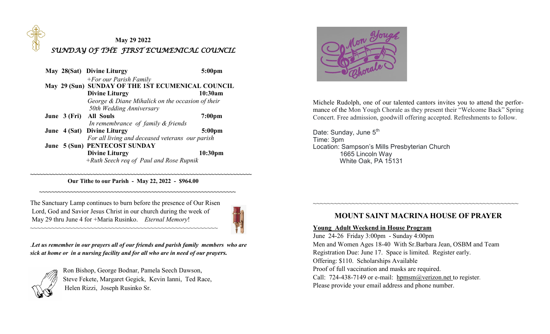

|  |                                           | 5:00 <sub>pm</sub>                                                                                                                                                                                                                                                                                                                              |
|--|-------------------------------------------|-------------------------------------------------------------------------------------------------------------------------------------------------------------------------------------------------------------------------------------------------------------------------------------------------------------------------------------------------|
|  | $+ For$ our Parish Family                 |                                                                                                                                                                                                                                                                                                                                                 |
|  |                                           |                                                                                                                                                                                                                                                                                                                                                 |
|  | <b>Divine Liturgy</b>                     | 10:30am                                                                                                                                                                                                                                                                                                                                         |
|  |                                           |                                                                                                                                                                                                                                                                                                                                                 |
|  | 50th Wedding Anniversary                  |                                                                                                                                                                                                                                                                                                                                                 |
|  |                                           | 7:00 <sub>pm</sub>                                                                                                                                                                                                                                                                                                                              |
|  |                                           |                                                                                                                                                                                                                                                                                                                                                 |
|  |                                           | 5:00 <sub>pm</sub>                                                                                                                                                                                                                                                                                                                              |
|  |                                           |                                                                                                                                                                                                                                                                                                                                                 |
|  |                                           |                                                                                                                                                                                                                                                                                                                                                 |
|  |                                           | 10:30pm                                                                                                                                                                                                                                                                                                                                         |
|  | $+Ruth$ Seech req of Paul and Rose Rupnik |                                                                                                                                                                                                                                                                                                                                                 |
|  |                                           | May 28(Sat) Divine Liturgy<br>May 29 (Sun) SUNDAY OF THE 1ST ECUMENICAL COUNCIL<br>George & Diane Mihalick on the occasion of their<br>June 3 (Fri) All Souls<br>In remembrance of family & friends<br>June 4 (Sat) Divine Liturgy<br>For all living and deceased veterans our parish<br>June 5 (Sun) PENTECOST SUNDAY<br><b>Divine Liturgy</b> |

 **Our Tithe to our Parish - May 22, 2022 - \$964.00 ~~~~~~~~~~~~~~~~~~~~~~~~~~~~~~~~~~~~~~~~~~~~~~~~~~~~~~~~~~~~~~~** 

**~~~~~~~~~~~~~~~~~~~~~~~~~~~~~~~~~~~~~~~~~~~~~~~~~~~~~~~~~~~~~~~~~~~~~~~** 

The Sanctuary Lamp continues to burn before the presence of Our Risen Lord, God and Savior Jesus Christ in our church during the week of May 29 thru June 4 for +Maria Rusinko. *Eternal Memory*!

~~~~~~~~~~~~~~~~~~~~~~~~~~~~~~~~~~~~~~~~~~~~~~~~~~~~~



.*Let us remember in our prayers all of our friends and parish family members who are sick at home or in a nursing facility and for all who are in need of our prayers.*



Ron Bishop, George Bodnar, Pamela Seech Dawson, Steve Fekete, Margaret Gegick, Kevin Ianni, Ted Race, Helen Rizzi, Joseph Rusinko Sr.



Michele Rudolph, one of our talented cantors invites you to attend the performance of the Mon Yough Chorale as they present their "Welcome Back" Spring Concert. Free admission, goodwill offering accepted. Refreshments to follow.

Date: Sunday, June 5<sup>th</sup> Time: 3pm Location: Sampson's Mills Presbyterian Church 1665 Lincoln Way White Oak, PA 15131

## **MOUNT SAINT MACRINA HOUSE OF PRAYER**

~~~~~~~~~~~~~~~~~~~~~~~~~~~~~~~~~~~~~~~~~~~~~~~~~~~~~~~~~~

## **Young Adult Weekend in House Program**

June 24-26 Friday 3:00pm - Sunday 4:00pm Men and Women Ages 18-40 With Sr.Barbara Jean, OSBM and Team Registration Due: June 17. Space is limited. Register early. Offering: \$110. Scholarships Available Proof of full vaccination and masks are required. Call: 724-438-7149 or e-mail: hpmsm@verizon.net to register. Please provide your email address and phone number.